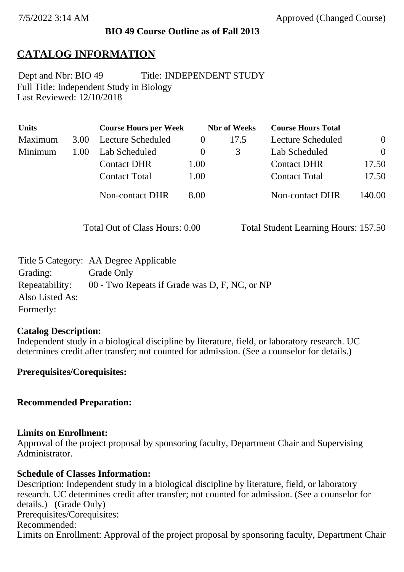## **BIO 49 Course Outline as of Fall 2013**

# **CATALOG INFORMATION**

Full Title: Independent Study in Biology Last Reviewed: 12/10/2018 Dept and Nbr: BIO 49 Title: INDEPENDENT STUDY

| <b>Units</b> |      | <b>Course Hours per Week</b> | <b>Nbr</b> of Weeks |      | <b>Course Hours Total</b> |                |
|--------------|------|------------------------------|---------------------|------|---------------------------|----------------|
| Maximum      | 3.00 | Lecture Scheduled            |                     | 17.5 | Lecture Scheduled         | $\overline{0}$ |
| Minimum      | 1.00 | Lab Scheduled                | $\theta$            | 3    | Lab Scheduled             | $\Omega$       |
|              |      | <b>Contact DHR</b>           | 1.00                |      | <b>Contact DHR</b>        | 17.50          |
|              |      | <b>Contact Total</b>         | 1.00                |      | <b>Contact Total</b>      | 17.50          |
|              |      | <b>Non-contact DHR</b>       | 8.00                |      | <b>Non-contact DHR</b>    | 140.00         |

Total Out of Class Hours: 0.00 Total Student Learning Hours: 157.50

|                 | Title 5 Category: AA Degree Applicable        |
|-----------------|-----------------------------------------------|
| Grading:        | Grade Only                                    |
| Repeatability:  | 00 - Two Repeats if Grade was D, F, NC, or NP |
| Also Listed As: |                                               |
| Formerly:       |                                               |

#### **Catalog Description:**

Independent study in a biological discipline by literature, field, or laboratory research. UC determines credit after transfer; not counted for admission. (See a counselor for details.)

#### **Prerequisites/Corequisites:**

#### **Recommended Preparation:**

#### **Limits on Enrollment:**

Approval of the project proposal by sponsoring faculty, Department Chair and Supervising Administrator.

#### **Schedule of Classes Information:**

Description: Independent study in a biological discipline by literature, field, or laboratory research. UC determines credit after transfer; not counted for admission. (See a counselor for details.) (Grade Only) Prerequisites/Corequisites: Recommended: Limits on Enrollment: Approval of the project proposal by sponsoring faculty, Department Chair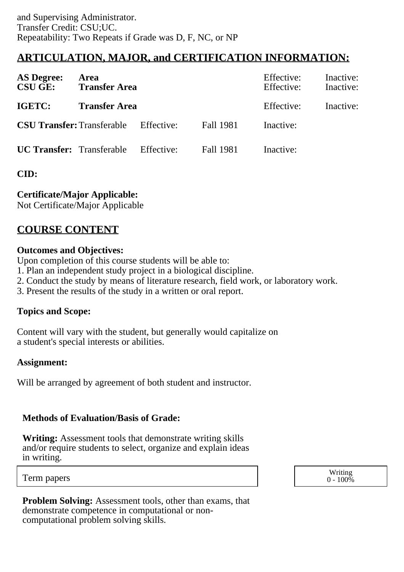# **ARTICULATION, MAJOR, and CERTIFICATION INFORMATION:**

| <b>AS Degree:</b><br><b>CSU GE:</b>          | Area<br><b>Transfer Area</b> |            |           | Effective:<br>Effective: | Inactive:<br>Inactive: |
|----------------------------------------------|------------------------------|------------|-----------|--------------------------|------------------------|
| IGETC:                                       | <b>Transfer Area</b>         |            |           | Effective:               | Inactive:              |
| <b>CSU Transfer:</b> Transferable Effective: |                              |            | Fall 1981 | Inactive:                |                        |
| <b>UC Transfer:</b> Transferable             |                              | Effective: | Fall 1981 | Inactive:                |                        |

# **CID:**

**Certificate/Major Applicable:** 

[Not Certificate/Major Applicable](SR_ClassCheck.aspx?CourseKey=BIO49)

# **COURSE CONTENT**

## **Outcomes and Objectives:**

Upon completion of this course students will be able to:

1. Plan an independent study project in a biological discipline.

- 2. Conduct the study by means of literature research, field work, or laboratory work.
- 3. Present the results of the study in a written or oral report.

# **Topics and Scope:**

Content will vary with the student, but generally would capitalize on a student's special interests or abilities.

# **Assignment:**

Will be arranged by agreement of both student and instructor.

# **Methods of Evaluation/Basis of Grade:**

**Writing:** Assessment tools that demonstrate writing skills and/or require students to select, organize and explain ideas in writing.

Term papers Writing the United States of the United States of the United States of the United States of the United States of the United States of the United States of the United States of the United States of the United St  $0 - 100\%$ 

**Problem Solving:** Assessment tools, other than exams, that demonstrate competence in computational or noncomputational problem solving skills.